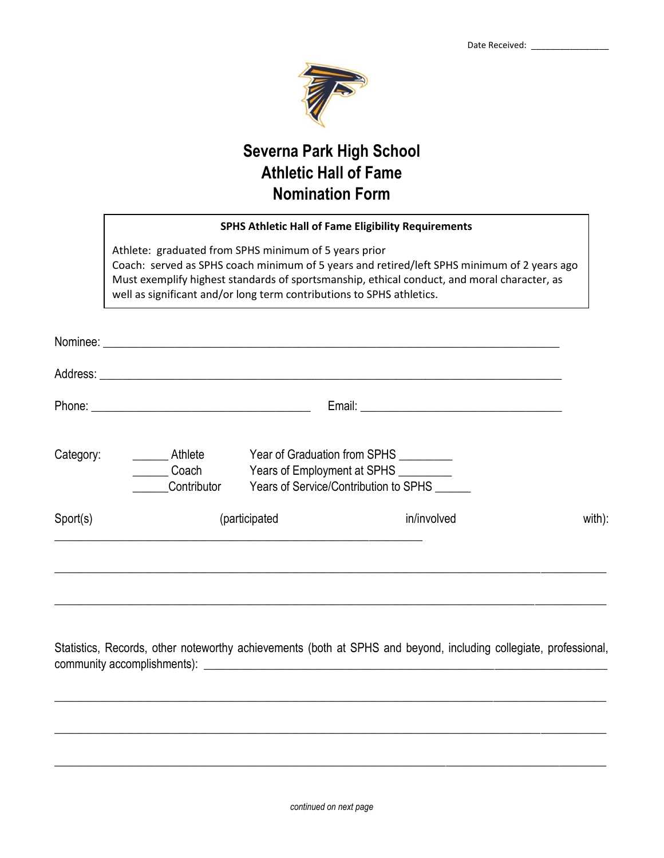

## **Severna Park High School Athletic Hall of Fame Nomination Form**

|           | <b>SPHS Athletic Hall of Fame Eligibility Requirements</b>                                                                                                                                                                                                                                                                   |                                                                                                                          |             |        |
|-----------|------------------------------------------------------------------------------------------------------------------------------------------------------------------------------------------------------------------------------------------------------------------------------------------------------------------------------|--------------------------------------------------------------------------------------------------------------------------|-------------|--------|
|           | Athlete: graduated from SPHS minimum of 5 years prior<br>Coach: served as SPHS coach minimum of 5 years and retired/left SPHS minimum of 2 years ago<br>Must exemplify highest standards of sportsmanship, ethical conduct, and moral character, as<br>well as significant and/or long term contributions to SPHS athletics. |                                                                                                                          |             |        |
|           |                                                                                                                                                                                                                                                                                                                              |                                                                                                                          |             |        |
|           |                                                                                                                                                                                                                                                                                                                              |                                                                                                                          |             |        |
|           | Email: <u>Alexander Alexander Alexander Alexander Alexander Alexander Alexander Alexander Alexander Alexander Alexander Alexander Alexander Alexander Alexander Alexander Alexander Alexander Alexander Alexander Alexander Alex</u>                                                                                         |                                                                                                                          |             |        |
| Category: | Athlete<br><b>Coach</b><br>Contributor                                                                                                                                                                                                                                                                                       | Year of Graduation from SPHS _________<br>Years of Employment at SPHS _________<br>Years of Service/Contribution to SPHS |             |        |
| Sport(s)  |                                                                                                                                                                                                                                                                                                                              | (participated                                                                                                            | in/involved | with): |
|           |                                                                                                                                                                                                                                                                                                                              |                                                                                                                          |             |        |
|           |                                                                                                                                                                                                                                                                                                                              |                                                                                                                          |             |        |

Statistics, Records, other noteworthy achievements (both at SPHS and beyond, including collegiate, professional, community accomplishments): \_\_\_\_\_\_\_\_\_\_\_\_\_\_\_\_\_\_\_\_\_\_\_\_\_\_\_\_\_\_\_\_\_\_\_\_\_\_\_\_\_\_\_\_\_\_\_\_\_\_\_\_\_\_\_\_\_\_\_\_\_\_\_\_\_\_\_\_

 $\_$  , and the set of the set of the set of the set of the set of the set of the set of the set of the set of the set of the set of the set of the set of the set of the set of the set of the set of the set of the set of th

\_\_\_\_\_\_\_\_\_\_\_\_\_\_\_\_\_\_\_\_\_\_\_\_\_\_\_\_\_\_\_\_\_\_\_\_\_\_\_\_\_\_\_\_\_\_\_\_\_\_\_\_\_\_\_\_\_\_\_\_\_\_\_\_\_\_\_\_\_\_\_\_\_\_\_\_\_\_\_\_\_\_\_\_\_\_\_\_\_\_\_\_\_

\_\_\_\_\_\_\_\_\_\_\_\_\_\_\_\_\_\_\_\_\_\_\_\_\_\_\_\_\_\_\_\_\_\_\_\_\_\_\_\_\_\_\_\_\_\_\_\_\_\_\_\_\_\_\_\_\_\_\_\_\_\_\_\_\_\_\_\_\_\_\_\_\_\_\_\_\_\_\_\_\_\_\_\_\_\_\_\_\_\_\_\_\_